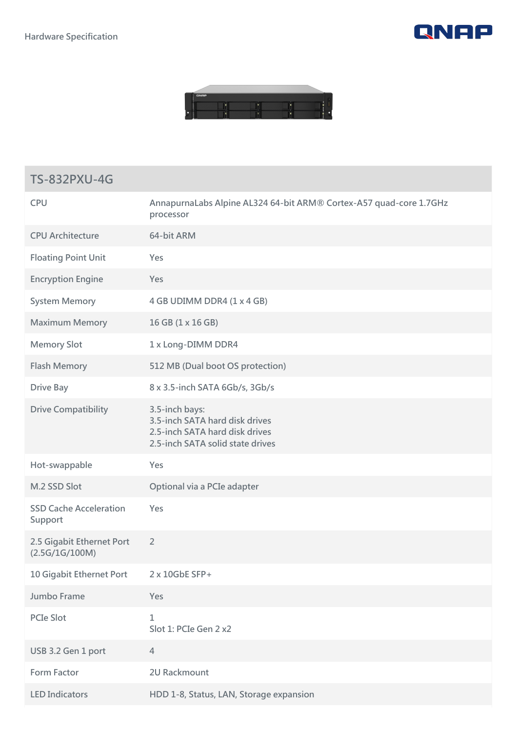



## **TS-832PXU-4G**

| <b>CPU</b>                                  | AnnapurnaLabs Alpine AL324 64-bit ARM® Cortex-A57 quad-core 1.7GHz<br>processor                                        |
|---------------------------------------------|------------------------------------------------------------------------------------------------------------------------|
| <b>CPU Architecture</b>                     | 64-bit ARM                                                                                                             |
| <b>Floating Point Unit</b>                  | Yes                                                                                                                    |
| <b>Encryption Engine</b>                    | Yes                                                                                                                    |
| <b>System Memory</b>                        | 4 GB UDIMM DDR4 (1 x 4 GB)                                                                                             |
| <b>Maximum Memory</b>                       | 16 GB (1 x 16 GB)                                                                                                      |
| <b>Memory Slot</b>                          | 1 x Long-DIMM DDR4                                                                                                     |
| <b>Flash Memory</b>                         | 512 MB (Dual boot OS protection)                                                                                       |
| <b>Drive Bay</b>                            | 8 x 3.5-inch SATA 6Gb/s, 3Gb/s                                                                                         |
| <b>Drive Compatibility</b>                  | 3.5-inch bays:<br>3.5-inch SATA hard disk drives<br>2.5-inch SATA hard disk drives<br>2.5-inch SATA solid state drives |
| Hot-swappable                               | Yes                                                                                                                    |
| M.2 SSD Slot                                | Optional via a PCIe adapter                                                                                            |
| <b>SSD Cache Acceleration</b><br>Support    | Yes                                                                                                                    |
| 2.5 Gigabit Ethernet Port<br>(2.5G/1G/100M) | $\overline{2}$                                                                                                         |
| 10 Gigabit Ethernet Port                    | 2 x 10GbE SFP+                                                                                                         |
| Jumbo Frame                                 | Yes                                                                                                                    |
| <b>PCIe Slot</b>                            | 1<br>Slot 1: PCIe Gen 2 x2                                                                                             |
| USB 3.2 Gen 1 port                          | $\overline{4}$                                                                                                         |
| Form Factor                                 | <b>2U Rackmount</b>                                                                                                    |
| <b>LED Indicators</b>                       | HDD 1-8, Status, LAN, Storage expansion                                                                                |